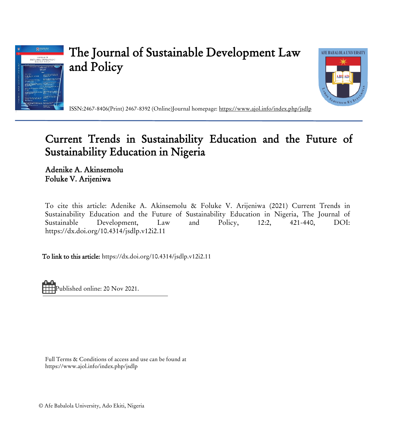

# The Journal of Sustainable Development Law and Policy



ISSN:2467-8406(Print) 2467-8392 (Online)Journal homepage:<https://www.ajol.info/index.php/jsdlp>

## Current Trends in Sustainability Education and the Future of Sustainability Education in Nigeria

Adenike A. Akinsemolu Foluke V. Arijeniwa

To cite this article: Adenike A. Akinsemolu & Foluke V. Arijeniwa (2021) Current Trends in Sustainability Education and the Future of Sustainability Education in Nigeria, The Journal of Sustainable Development, Law and Policy, 12:2, 421-440, DOI: <https://dx.doi.org/10.4314/jsdlp.v12i2.11>

To link to this article: <https://dx.doi.org/10.4314/jsdlp.v12i2.11>

Published online: 20 Nov 2021.

Full Terms & Conditions of access and use can be found at https://www.ajol.info/index.php/jsdlp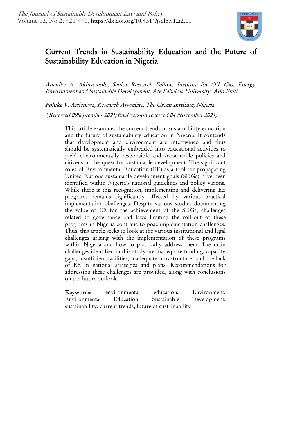

### Current Trends in Sustainability Education and the Future of Sustainability Education in Nigeria

Adenike A. Akinsemolu, Senior Research Fellow, Institute for Oil, Gas, Energy, Environment and Sustainable Development, Afe Babalola University, Ado Ekiti

Foluke V. Arijeniwa, Research Associate, The Green Institute, Nigeria

(Received 09September 2021; *fi*nal version received 04 November 2021)

This article examines the current trends in sustainability education and the future of sustainability education in Nigeria. It contends that development and environment are intertwined and thus should be systematically embedded into educational activities to yield environmentally responsible and accountable policies and citizens in the quest for sustainable development. The significant roles of Environmental Education (EE) as a tool for propagating United Nations sustainable development goals (SDGs) have been identified within Nigeria's national guidelines and policy visions. While there is this recognition, implementing and delivering EE programs remains significantly affected by various practical implementation challenges. Despite various studies documenting the value of EE for the achievement of the SDGs, challenges related to governance and laws limiting the roll-out of these programs in Nigeria continue to pose implementation challenges. Thus, this article seeks to look at the various institutional and legal challenges arising with the implementation of these programs within Nigeria and how to practically address them. The main challenges identified in this study are inadequate funding, capacity gaps, insufficient facilities, inadequate infrastructure, and the lack of EE in national strategies and plans. Recommendations for addressing these challenges are provided, along with conclusions on the future outlook.

Keywords: environmental education, Environment, Environmental Education, Sustainable Development, sustainability, current trends, future of sustainability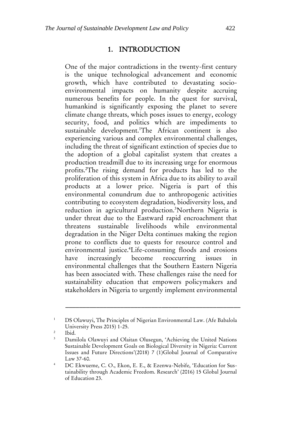#### 1. INTRODUCTION

One of the major contradictions in the twenty-first century is the unique technological advancement and economic growth, which have contributed to devastating socioenvironmental impacts on humanity despite accruing numerous benefits for people. In the quest for survival, humankind is significantly exposing the planet to severe climate change threats, which poses issues to energy, ecology security, food, and politics which are impediments to sustainable development.<sup>1</sup>The African continent is also experiencing various and complex environmental challenges, including the threat of significant extinction of species due to the adoption of a global capitalist system that creates a production treadmill due to its increasing urge for enormous profits.<sup>2</sup>The rising demand for products has led to the proliferation of this system in Africa due to its ability to avail products at a lower price. Nigeria is part of this environmental conundrum due to anthropogenic activities contributing to ecosystem degradation, biodiversity loss, and reduction in agricultural production.<sup>3</sup>Northern Nigeria is under threat due to the Eastward rapid encroachment that threatens sustainable livelihoods while environmental degradation in the Niger Delta continues making the region prone to conflicts due to quests for resource control and environmental justice.<sup>4</sup>Life-consuming floods and erosions have increasingly become reoccurring issues in environmental challenges that the Southern Eastern Nigeria has been associated with. These challenges raise the need for sustainability education that empowers policymakers and stakeholders in Nigeria to urgently implement environmental

<sup>&</sup>lt;sup>1</sup> DS Olawuyi, The Principles of Nigerian Environmental Law. (Afe Babalola University Press 2015) 1-25.

<sup>2</sup> Ibid.

Damilola Olawuyi and Olaitan Olusegun, 'Achieving the United Nations Sustainable Development Goals on Biological Diversity in Nigeria: Current Issues and Future Directions'(2018) 7 (1)Global Journal of Comparative Law 37-60.

<sup>4</sup> DC Ekwueme, C. O., Ekon, E. E., & Ezenwa-Nebife, 'Education for Sustainability through Academic Freedom. Research' (2016) 15 Global Journal of Education 23.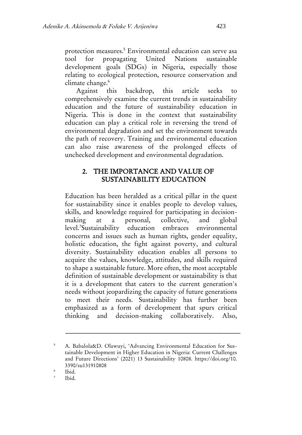protection measures.<sup>5</sup> Environmental education can serve asa tool for propagating United Nations sustainable development goals (SDGs) in Nigeria, especially those relating to ecological protection, resource conservation and climate change.<sup>6</sup>

Against this backdrop, this article seeks comprehensively examine the current trends in sustainability education and the future of sustainability education in Nigeria. This is done in the context that sustainability education can play a critical role in reversing the trend of environmental degradation and set the environment towards the path of recovery. Training and environmental education can also raise awareness of the prolonged effects of unchecked development and environmental degradation.

#### 2. THE IMPORTANCE AND VALUE OF SUSTAINABILITY EDUCATION

Education has been heralded as a critical pillar in the quest for sustainability since it enables people to develop values, skills, and knowledge required for participating in decisionmaking at a personal, collective, and global level.<sup>7</sup>Sustainability education embraces environmental concerns and issues such as human rights, gender equality, holistic education, the fight against poverty, and cultural diversity. Sustainability education enables all persons to acquire the values, knowledge, attitudes, and skills required to shape a sustainable future. More often, the most acceptable definition of sustainable development or sustainability is that it is a development that caters to the current generation's needs without jeopardizing the capacity of future generations to meet their needs. Sustainability has further been emphasized as a form of development that spurs critical thinking and decision-making collaboratively. Also,

<sup>5</sup> A. Babalola&D. Olawuyi, 'Advancing Environmental Education for Sustainable Development in Higher Education in Nigeria: Current Challenges and Future Directions' (2021) 13 Sustainability 10808. https://doi.org/10. 3390/su131910808

<sup>6</sup> Ibid.

<sup>7</sup> Ibid.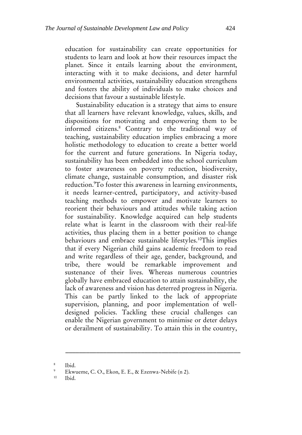education for sustainability can create opportunities for students to learn and look at how their resources impact the planet. Since it entails learning about the environment, interacting with it to make decisions, and deter harmful environmental activities, sustainability education strengthens and fosters the ability of individuals to make choices and decisions that favour a sustainable lifestyle.

Sustainability education is a strategy that aims to ensure that all learners have relevant knowledge, values, skills, and dispositions for motivating and empowering them to be informed citizens.<sup>8</sup> Contrary to the traditional way of teaching, sustainability education implies embracing a more holistic methodology to education to create a better world for the current and future generations. In Nigeria today, sustainability has been embedded into the school curriculum to foster awareness on poverty reduction, biodiversity, climate change, sustainable consumption, and disaster risk reduction.<sup>9</sup>To foster this awareness in learning environments, it needs learner-centred, participatory, and activity-based teaching methods to empower and motivate learners to reorient their behaviours and attitudes while taking action for sustainability. Knowledge acquired can help students relate what is learnt in the classroom with their real-life activities, thus placing them in a better position to change behaviours and embrace sustainable lifestyles.<sup>10</sup>This implies that if every Nigerian child gains academic freedom to read and write regardless of their age, gender, background, and tribe, there would be remarkable improvement and sustenance of their lives. Whereas numerous countries globally have embraced education to attain sustainability, the lack of awareness and vision has deterred progress in Nigeria. This can be partly linked to the lack of appropriate supervision, planning, and poor implementation of welldesigned policies. Tackling these crucial challenges can enable the Nigerian government to minimise or deter delays or derailment of sustainability. To attain this in the country,

\_\_\_\_\_\_\_\_\_\_\_\_\_\_\_\_\_\_\_\_\_\_\_\_\_\_\_\_\_\_\_\_\_\_\_\_\_\_\_\_\_\_\_\_\_\_\_\_\_\_\_

<sup>10</sup> Ibid.

<sup>8</sup> Ibid.

<sup>&</sup>lt;sup>9</sup> Ekwueme, C. O., Ekon, E. E., & Ezenwa-Nebife (n 2).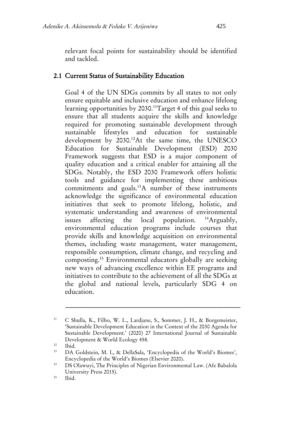relevant focal points for sustainability should be identified and tackled.

#### 2.1 Current Status of Sustainability Education

Goal 4 of the UN SDGs commits by all states to not only ensure equitable and inclusive education and enhance lifelong learning opportunities by 2030.<sup>11</sup>Target 4 of this goal seeks to ensure that all students acquire the skills and knowledge required for promoting sustainable development through sustainable lifestyles and education for sustainable development by 2030.<sup>12</sup>At the same time, the UNESCO Education for Sustainable Development (ESD) 2030 Framework suggests that ESD is a major component of quality education and a critical enabler for attaining all the SDGs. Notably, the ESD 2030 Framework offers holistic tools and guidance for implementing these ambitious commitments and goals.<sup>13</sup>A number of these instruments acknowledge the significance of environmental education initiatives that seek to promote lifelong, holistic, and systematic understanding and awareness of environmental issues affecting the local population. <sup>14</sup>Arguably, environmental education programs include courses that provide skills and knowledge acquisition on environmental themes, including waste management, water management, responsible consumption, climate change, and recycling and composting.<sup>15</sup> Environmental educators globally are seeking new ways of advancing excellence within EE programs and initiatives to contribute to the achievement of all the SDGs at the global and national levels, particularly SDG 4 on education.

<sup>11</sup> C Shulla, K., Filho, W. L., Lardjane, S., Sommer, J. H., & Borgemeister, 'Sustainable Development Education in the Context of the 2030 Agenda for Sustainable Development.' (2020) 27 International Journal of Sustainable Development & World Ecology 458.

 $\frac{12}{13}$  Ibid.

<sup>13</sup> DA Goldstein, M. I., & DellaSala, 'Encyclopedia of the World's Biomes', Encyclopedia of the World's Biomes (Elsevier 2020).

<sup>14</sup> DS Olawuyi, The Principles of Nigerian Environmental Law. (Afe Babalola University Press 2015).

<sup>15</sup> Ibid.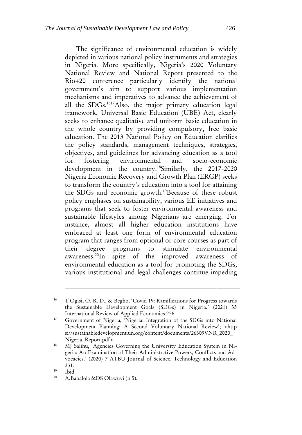The significance of environmental education is widely depicted in various national policy instruments and strategies in Nigeria. More specifically, Nigeria's 2020 Voluntary National Review and National Report presented to the Rio+20 conference particularly identify the national government's aim to support various implementation mechanisms and imperatives to advance the achievement of all the SDGs.<sup>1617</sup>Also, the major primary education legal framework, Universal Basic Education (UBE) Act, clearly seeks to enhance qualitative and uniform basic education in the whole country by providing compulsory, free basic education. The 2013 National Policy on Education clarifies the policy standards, management techniques, strategies, objectives, and guidelines for advancing education as a tool for fostering environmental and socio-economic development in the country.<sup>18</sup>Similarly, the 2017-2020 Nigeria Economic Recovery and Growth Plan (ERGP) seeks to transform the country's education into a tool for attaining the SDGs and economic growth.<sup>19</sup>Because of these robust policy emphases on sustainability, various EE initiatives and programs that seek to foster environmental awareness and sustainable lifestyles among Nigerians are emerging. For instance, almost all higher education institutions have embraced at least one form of environmental education program that ranges from optional or core courses as part of their degree programs to stimulate environmental awareness.<sup>20</sup>In spite of the improved awareness of environmental education as a tool for promoting the SDGs, various institutional and legal challenges continue impeding

<sup>&</sup>lt;sup>16</sup> T Ogisi, O. R. D., & Begho, 'Covid 19: Ramifications for Progress towards the Sustainable Development Goals (SDGs) in Nigeria.' (2021) 35 International Review of Applied Economics 256.

<sup>&</sup>lt;sup>17</sup> Government of Nigeria, 'Nigeria: Integration of the SDGs into National Development Planning: A Second Voluntary National Review'; <http s://sustainabledevelopment.un.org/content/documents/26309VNR\_2020\_ Nigeria\_Report.pdf>.

<sup>&</sup>lt;sup>18</sup> MJ Salihu, 'Agencies Governing the University Education System in Nigeria: An Examination of Their Administrative Powers, Conflicts and Advocacies.' (2020) 7 ATBU Journal of Science, Technology and Education 231.

 $\frac{19}{20}$  Ibid.

A.Babalola &DS Olawuyi (n.5).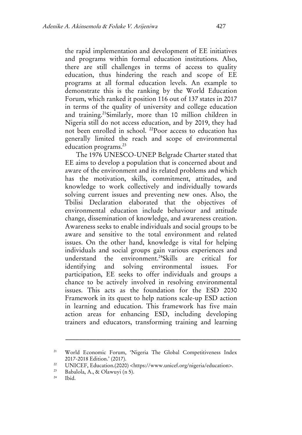the rapid implementation and development of EE initiatives and programs within formal education institutions. Also, there are still challenges in terms of access to quality education, thus hindering the reach and scope of EE programs at all formal education levels. An example to demonstrate this is the ranking by the World Education Forum, which ranked it position 116 out of 137 states in 2017 in terms of the quality of university and college education and training.<sup>21</sup>Similarly, more than 10 million children in Nigeria still do not access education, and by 2019, they had not been enrolled in school. <sup>22</sup>Poor access to education has generally limited the reach and scope of environmental education programs. 23

The 1976 UNESCO-UNEP Belgrade Charter stated that EE aims to develop a population that is concerned about and aware of the environment and its related problems and which has the motivation, skills, commitment, attitudes, and knowledge to work collectively and individually towards solving current issues and preventing new ones. Also, the Tbilisi Declaration elaborated that the objectives of environmental education include behaviour and attitude change, dissemination of knowledge, and awareness creation. Awareness seeks to enable individuals and social groups to be aware and sensitive to the total environment and related issues. On the other hand, knowledge is vital for helping individuals and social groups gain various experiences and understand the environment.<sup>24</sup>Skills are critical for identifying and solving environmental issues. For participation, EE seeks to offer individuals and groups a chance to be actively involved in resolving environmental issues. This acts as the foundation for the ESD 2030 Framework in its quest to help nations scale-up ESD action in learning and education. This framework has five main action areas for enhancing ESD, including developing trainers and educators, transforming training and learning

<sup>21</sup> World Economic Forum, 'Nigeria The Global Competitiveness Index 2017-2018 Edition.' (2017).

<sup>&</sup>lt;sup>22</sup> UNICEF, Education.(2020) <https://www.unicef.org/nigeria/education>.<br>Babalola A & Olamuri (n.5)

<sup>&</sup>lt;sup>23</sup> Babalola, A., & Olawuyi (n 5).

Ibid.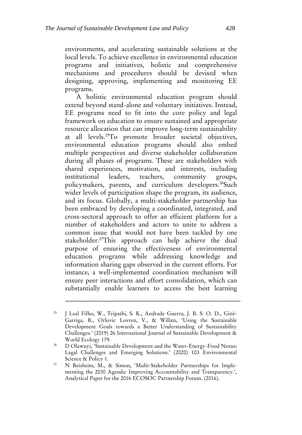environments, and accelerating sustainable solutions at the local levels. To achieve excellence in environmental education programs and initiatives, holistic and comprehensive mechanisms and procedures should be devised when designing, approving, implementing and monitoring EE programs.

A holistic environmental education program should extend beyond stand-alone and voluntary initiatives. Instead, EE programs need to fit into the core policy and legal framework on education to ensure sustained and appropriate resource allocation that can improve long-term sustainability at all levels.<sup>25</sup>To promote broader societal objectives, environmental education programs should also embed multiple perspectives and diverse stakeholder collaboration during all phases of programs. These are stakeholders with shared experiences, motivation, and interests, including institutional leaders, teachers, community groups, policymakers, parents, and curriculum developers.<sup>26</sup>Such wider levels of participation shape the program, its audience, and its focus. Globally, a multi-stakeholder partnership has been embraced by developing a coordinated, integrated, and cross-sectoral approach to offer an efficient platform for a number of stakeholders and actors to unite to address a common issue that would not have been tackled by one stakeholder.<sup>27</sup>This approach can help achieve the dual purpose of ensuring the effectiveness of environmental education programs while addressing knowledge and information sharing gaps observed in the current efforts. For instance, a well-implemented coordination mechanism will ensure peer interactions and effort consolidation, which can substantially enable learners to access the best learning

<sup>&</sup>lt;sup>25</sup> J Leal Filho, W., Tripathi, S. K., Andrade Guerra, J. B. S. O. D., Giné-Garriga, R., Orlovic Lovren, V., & Willats, 'Using the Sustainable Development Goals towards a Better Understanding of Sustainability Challenges.' (2019) 26 International Journal of Sustainable Development & World Ecology 179.

<sup>26</sup> D Olawuyi, 'Sustainable Development and the Water-Energy-Food Nexus: Legal Challenges and Emerging Solutions.' (2020) 103 Environmental Science & Policy 1.

<sup>&</sup>lt;sup>27</sup> N Beisheim, M., & Simon, 'Multi-Stakeholder Partnerships for Implementing the 2030 Agenda: Improving Accountability and Transparency.', Analytical Paper for the 2016 ECOSOC Partnership Forum. (2016).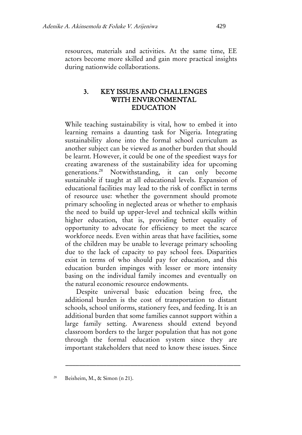resources, materials and activities. At the same time, EE actors become more skilled and gain more practical insights during nationwide collaborations.

#### 3. KEY ISSUES AND CHALLENGES WITH ENVIRONMENTAL EDUCATION

While teaching sustainability is vital, how to embed it into learning remains a daunting task for Nigeria. Integrating sustainability alone into the formal school curriculum as another subject can be viewed as another burden that should be learnt. However, it could be one of the speediest ways for creating awareness of the sustainability idea for upcoming generations.<sup>28</sup> Notwithstanding, it can only become sustainable if taught at all educational levels. Expansion of educational facilities may lead to the risk of conflict in terms of resource use: whether the government should promote primary schooling in neglected areas or whether to emphasis the need to build up upper-level and technical skills within higher education, that is, providing better equality of opportunity to advocate for efficiency to meet the scarce workforce needs. Even within areas that have facilities, some of the children may be unable to leverage primary schooling due to the lack of capacity to pay school fees. Disparities exist in terms of who should pay for education, and this education burden impinges with lesser or more intensity basing on the individual family incomes and eventually on the natural economic resource endowments.

Despite universal basic education being free, the additional burden is the cost of transportation to distant schools, school uniforms, stationery fees, and feeding. It is an additional burden that some families cannot support within a large family setting. Awareness should extend beyond classroom borders to the larger population that has not gone through the formal education system since they are important stakeholders that need to know these issues. Since

<sup>28</sup> Beisheim, M., & Simon (n 21).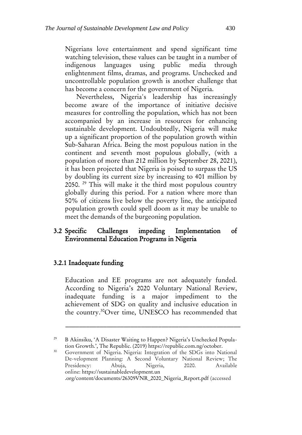Nigerians love entertainment and spend significant time watching television, these values can be taught in a number of indigenous languages using public media through enlightenment films, dramas, and programs. Unchecked and uncontrollable population growth is another challenge that has become a concern for the government of Nigeria.

Nevertheless, Nigeria's leadership has increasingly become aware of the importance of initiative decisive measures for controlling the population, which has not been accompanied by an increase in resources for enhancing sustainable development. Undoubtedly, Nigeria will make up a significant proportion of the population growth within Sub-Saharan Africa. Being the most populous nation in the continent and seventh most populous globally, (with a population of more than 212 million by September 28, 2021), it has been projected that Nigeria is poised to surpass the US by doubling its current size by increasing to 401 million by 2050. <sup>29</sup> This will make it the third most populous country globally during this period. For a nation where more than 50% of citizens live below the poverty line, the anticipated population growth could spell doom as it may be unable to meet the demands of the burgeoning population.

#### 3.2 Specific Challenges impeding Implementation of Environmental Education Programs in Nigeria

#### 3.2.1 Inadequate funding

Education and EE programs are not adequately funded. According to Nigeria's 2020 Voluntary National Review, inadequate funding is a major impediment to the achievement of SDG on quality and inclusive education in the country.<sup>30</sup>Over time, UNESCO has recommended that

<sup>&</sup>lt;sup>29</sup> B Akinsiku, 'A Disaster Waiting to Happen? Nigeria's Unchecked Population Growth.', The Republic. (2019) https://republic.com.ng/october.

<sup>&</sup>lt;sup>30</sup> Government of Nigeria. Nigeria: Integration of the SDGs into National De-velopment Planning: A Second Voluntary National Review; The Presidency: Abuja, Nigeria, 2020. Available online: https://sustainabledevelopment.un .org/content/documents/26309VNR\_2020\_Nigeria\_Report.pdf (accessed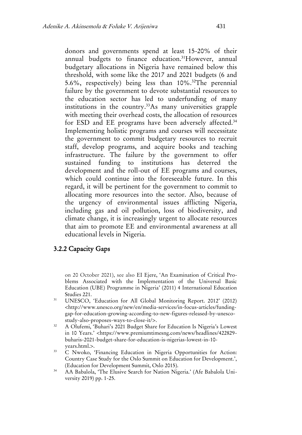donors and governments spend at least 15-20% of their annual budgets to finance education.<sup>31</sup>However, annual budgetary allocations in Nigeria have remained below this threshold, with some like the 2017 and 2021 budgets (6 and 5.6%, respectively) being less than 10%.<sup>32</sup>The perennial failure by the government to devote substantial resources to the education sector has led to underfunding of many institutions in the country.<sup>33</sup>As many universities grapple with meeting their overhead costs, the allocation of resources for ESD and EE programs have been adversely affected.<sup>34</sup> Implementing holistic programs and courses will necessitate the government to commit budgetary resources to recruit staff, develop programs, and acquire books and teaching infrastructure. The failure by the government to offer sustained funding to institutions has deterred the development and the roll-out of EE programs and courses, which could continue into the foreseeable future. In this regard, it will be pertinent for the government to commit to allocating more resources into the sector. Also, because of the urgency of environmental issues afflicting Nigeria, including gas and oil pollution, loss of biodiversity, and climate change, it is increasingly urgent to allocate resources that aim to promote EE and environmental awareness at all educational levels in Nigeria.

#### 3.2.2 Capacity Gaps

on 20 October 2021), see also EI Ejere, 'An Examination of Critical Problems Associated with the Implementation of the Universal Basic Education (UBE) Programme in Nigeria' (2011) 4 International Education Studies 221.

- <sup>31</sup> UNESCO, 'Education for All Global Monitoring Report. 2012' (2012) <http://www.unesco.org/new/en/media-services/in-focus-articles/fundinggap-for-education-growing-according-to-new-figures-released-by-unescostudy-also-proposes-ways-to-close-it/>.
- <sup>32</sup> A Olufemi, 'Buhari's 2021 Budget Share for Education Is Nigeria's Lowest in 10 Years.' <https://www.premiumtimesng.com/news/headlines/422829 buharis-2021-budget-share-for-education-is-nigerias-lowest-in-10 years.html.>.
- <sup>33</sup> C Nwoko, 'Financing Education in Nigeria Opportunities for Action: Country Case Study for the Oslo Summit on Education for Development.', (Education for Development Summit, Oslo 2015).
- <sup>34</sup> AA Babalola, 'The Elusive Search for Nation Nigeria.' (Afe Babalola University 2019) pp. 1-25.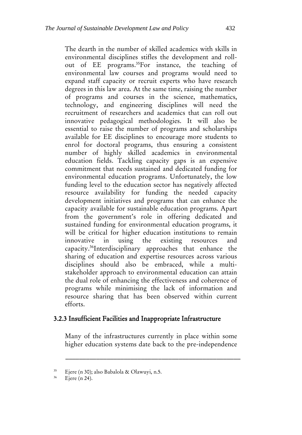The dearth in the number of skilled academics with skills in environmental disciplines stifles the development and rollout of EE programs.<sup>35</sup>For instance, the teaching of environmental law courses and programs would need to expand staff capacity or recruit experts who have research degrees in this law area. At the same time, raising the number of programs and courses in the science, mathematics, technology, and engineering disciplines will need the recruitment of researchers and academics that can roll out innovative pedagogical methodologies. It will also be essential to raise the number of programs and scholarships available for EE disciplines to encourage more students to enrol for doctoral programs, thus ensuring a consistent number of highly skilled academics in environmental education fields. Tackling capacity gaps is an expensive commitment that needs sustained and dedicated funding for environmental education programs. Unfortunately, the low funding level to the education sector has negatively affected resource availability for funding the needed capacity development initiatives and programs that can enhance the capacity available for sustainable education programs. Apart from the government's role in offering dedicated and sustained funding for environmental education programs, it will be critical for higher education institutions to remain innovative in using the existing resources and capacity.<sup>36</sup>Interdisciplinary approaches that enhance the sharing of education and expertise resources across various disciplines should also be embraced, while a multistakeholder approach to environmental education can attain the dual role of enhancing the effectiveness and coherence of programs while minimising the lack of information and resource sharing that has been observed within current efforts.

#### 3.2.3 Insufficient Facilities and Inappropriate Infrastructure

Many of the infrastructures currently in place within some higher education systems date back to the pre-independence

<sup>&</sup>lt;sup>35</sup> Ejere (n 30); also Babalola & Olawuyi, n.5.<br><sup>36</sup> Ejere (n 24)

Ejere (n 24).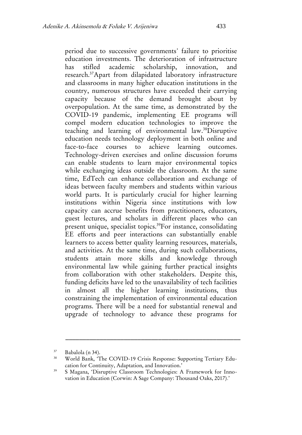period due to successive governments' failure to prioritise education investments. The deterioration of infrastructure has stifled academic scholarship, innovation, and research.<sup>37</sup>Apart from dilapidated laboratory infrastructure and classrooms in many higher education institutions in the country, numerous structures have exceeded their carrying capacity because of the demand brought about by overpopulation. At the same time, as demonstrated by the COVID-19 pandemic, implementing EE programs will compel modern education technologies to improve the teaching and learning of environmental law.<sup>38</sup>Disruptive education needs technology deployment in both online and face-to-face courses to achieve learning outcomes. Technology-driven exercises and online discussion forums can enable students to learn major environmental topics while exchanging ideas outside the classroom. At the same time, EdTech can enhance collaboration and exchange of ideas between faculty members and students within various world parts. It is particularly crucial for higher learning institutions within Nigeria since institutions with low capacity can accrue benefits from practitioners, educators, guest lectures, and scholars in different places who can present unique, specialist topics.<sup>39</sup>For instance, consolidating EE efforts and peer interactions can substantially enable learners to access better quality learning resources, materials, and activities. At the same time, during such collaborations, students attain more skills and knowledge through environmental law while gaining further practical insights from collaboration with other stakeholders. Despite this, funding deficits have led to the unavailability of tech facilities in almost all the higher learning institutions, thus constraining the implementation of environmental education programs. There will be a need for substantial renewal and upgrade of technology to advance these programs for

<sup>37</sup> Babalola (n 34).

<sup>38</sup> World Bank, 'The COVID-19 Crisis Response: Supporting Tertiary Education for Continuity, Adaptation, and Innovation.'

<sup>&</sup>lt;sup>39</sup> S Magana, 'Disruptive Classroom Technologies: A Framework for Innovation in Education (Corwin: A Sage Company: Thousand Oaks, 2017).'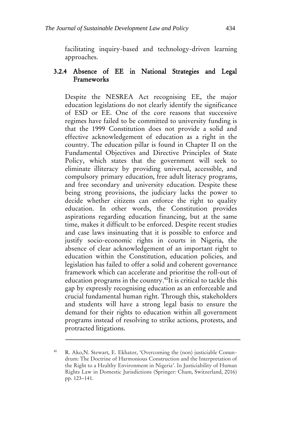facilitating inquiry-based and technology-driven learning approaches.

#### 3.2.4 Absence of EE in National Strategies and Legal Frameworks

Despite the NESREA Act recognising EE, the major education legislations do not clearly identify the significance of ESD or EE. One of the core reasons that successive regimes have failed to be committed to university funding is that the 1999 Constitution does not provide a solid and effective acknowledgement of education as a right in the country. The education pillar is found in Chapter II on the Fundamental Objectives and Directive Principles of State Policy, which states that the government will seek to eliminate illiteracy by providing universal, accessible, and compulsory primary education, free adult literacy programs, and free secondary and university education. Despite these being strong provisions, the judiciary lacks the power to decide whether citizens can enforce the right to quality education. In other words, the Constitution provides aspirations regarding education financing, but at the same time, makes it difficult to be enforced. Despite recent studies and case laws insinuating that it is possible to enforce and justify socio-economic rights in courts in Nigeria, the absence of clear acknowledgement of an important right to education within the Constitution, education policies, and legislation has failed to offer a solid and coherent governance framework which can accelerate and prioritise the roll-out of education programs in the country.<sup>40</sup>It is critical to tackle this gap by expressly recognising education as an enforceable and crucial fundamental human right. Through this, stakeholders and students will have a strong legal basis to ensure the demand for their rights to education within all government programs instead of resolving to strike actions, protests, and protracted litigations.

<sup>40</sup> R. Ako,N. Stewart, E. Ekhator, 'Overcoming the (non) justiciable Conundrum: The Doctrine of Harmonious Construction and the Interpretation of the Right to a Healthy Environment in Nigeria'. In Justiciability of Human Rights Law in Domestic Jurisdictions (Springer: Cham, Switzerland, 2016) pp. 123–141.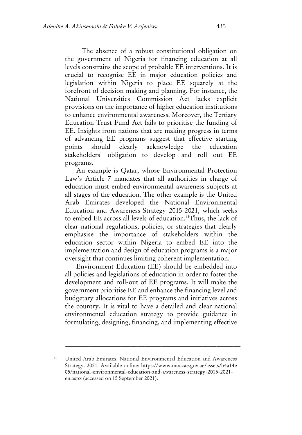The absence of a robust constitutional obligation on the government of Nigeria for financing education at all levels constrains the scope of probable EE interventions. It is crucial to recognise EE in major education policies and legislation within Nigeria to place EE squarely at the forefront of decision making and planning. For instance, the National Universities Commission Act lacks explicit provisions on the importance of higher education institutions to enhance environmental awareness. Moreover, the Tertiary Education Trust Fund Act fails to prioritise the funding of EE. Insights from nations that are making progress in terms of advancing EE programs suggest that effective starting points should clearly acknowledge the education stakeholders' obligation to develop and roll out EE programs.

An example is Qatar, whose Environmental Protection Law's Article 7 mandates that all authorities in charge of education must embed environmental awareness subjects at all stages of the education. The other example is the United Arab Emirates developed the National Environmental Education and Awareness Strategy 2015-2021, which seeks to embed EE across all levels of education.<sup>41</sup>Thus, the lack of clear national regulations, policies, or strategies that clearly emphasise the importance of stakeholders within the education sector within Nigeria to embed EE into the implementation and design of education programs is a major oversight that continues limiting coherent implementation.

Environment Education (EE) should be embedded into all policies and legislations of education in order to foster the development and roll-out of EE programs. It will make the government prioritise EE and enhance the financing level and budgetary allocations for EE programs and initiatives across the country. It is vital to have a detailed and clear national environmental education strategy to provide guidance in formulating, designing, financing, and implementing effective

<sup>41</sup> United Arab Emirates. National Environmental Education and Awareness Strategy. 2021. Available online: https://www.moccae.gov.ae/assets/b4a14e 05/national-environmental-education-and-awareness-strategy-2015-2021 en.aspx (accessed on 15 September 2021).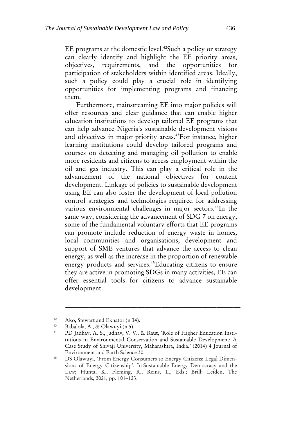EE programs at the domestic level.<sup>42</sup>Such a policy or strategy can clearly identify and highlight the EE priority areas, objectives, requirements, and the opportunities for participation of stakeholders within identified areas. Ideally, such a policy could play a crucial role in identifying opportunities for implementing programs and financing them.

Furthermore, mainstreaming EE into major policies will offer resources and clear guidance that can enable higher education institutions to develop tailored EE programs that can help advance Nigeria's sustainable development visions and objectives in major priority areas.<sup>43</sup>For instance, higher learning institutions could develop tailored programs and courses on detecting and managing oil pollution to enable more residents and citizens to access employment within the oil and gas industry. This can play a critical role in the advancement of the national objectives for content development. Linkage of policies to sustainable development using EE can also foster the development of local pollution control strategies and technologies required for addressing various environmental challenges in major sectors.<sup>44</sup>In the same way, considering the advancement of SDG 7 on energy, some of the fundamental voluntary efforts that EE programs can promote include reduction of energy waste in homes, local communities and organisations, development and support of SME ventures that advance the access to clean energy, as well as the increase in the proportion of renewable energy products and services.<sup>45</sup>Educating citizens to ensure they are active in promoting SDGs in many activities, EE can offer essential tools for citizens to advance sustainable development.

<sup>&</sup>lt;sup>42</sup> Ako, Stewart and Ekhator (n 34).

<sup>&</sup>lt;sup>43</sup> Babalola, A., & Olawuyi (n 5).

PD Jadhav, A. S., Jadhav, V. V., & Raut, 'Role of Higher Education Institutions in Environmental Conservation and Sustainable Development: A Case Study of Shivaji University, Maharashtra, India.' (2014) 4 Journal of Environment and Earth Science 30.

<sup>45</sup> DS Olawuyi, 'From Energy Consumers to Energy Citizens: Legal Dimensions of Energy Citizenship'. In Sustainable Energy Democracy and the Law; Hunta, K., Fleming, R., Reins, L., Eds.; Brill: Leiden, The Netherlands, 2021; pp. 101–123.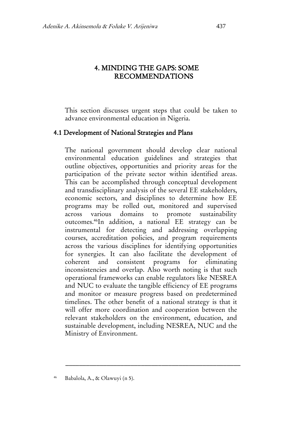#### 4. MINDING THE GAPS: SOME RECOMMENDATIONS

This section discusses urgent steps that could be taken to advance environmental education in Nigeria.

#### 4.1 Development of National Strategies and Plans

The national government should develop clear national environmental education guidelines and strategies that outline objectives, opportunities and priority areas for the participation of the private sector within identified areas. This can be accomplished through conceptual development and transdisciplinary analysis of the several EE stakeholders, economic sectors, and disciplines to determine how EE programs may be rolled out, monitored and supervised across various domains to promote sustainability outcomes.<sup>46</sup>In addition, a national EE strategy can be instrumental for detecting and addressing overlapping courses, accreditation policies, and program requirements across the various disciplines for identifying opportunities for synergies. It can also facilitate the development of coherent and consistent programs for eliminating inconsistencies and overlap. Also worth noting is that such operational frameworks can enable regulators like NESREA and NUC to evaluate the tangible efficiency of EE programs and monitor or measure progress based on predetermined timelines. The other benefit of a national strategy is that it will offer more coordination and cooperation between the relevant stakeholders on the environment, education, and sustainable development, including NESREA, NUC and the Ministry of Environment.

Babalola, A., & Olawuyi (n 5).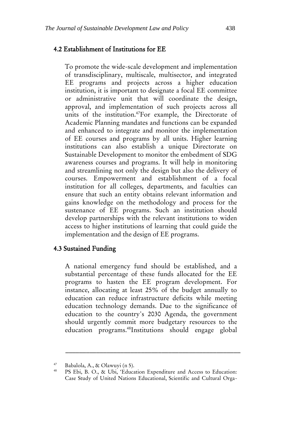#### 4.2 Establishment of Institutions for EE

To promote the wide-scale development and implementation of transdisciplinary, multiscale, multisector, and integrated EE programs and projects across a higher education institution, it is important to designate a focal EE committee or administrative unit that will coordinate the design, approval, and implementation of such projects across all units of the institution.<sup>47</sup>For example, the Directorate of Academic Planning mandates and functions can be expanded and enhanced to integrate and monitor the implementation of EE courses and programs by all units. Higher learning institutions can also establish a unique Directorate on Sustainable Development to monitor the embedment of SDG awareness courses and programs. It will help in monitoring and streamlining not only the design but also the delivery of courses. Empowerment and establishment of a focal institution for all colleges, departments, and faculties can ensure that such an entity obtains relevant information and gains knowledge on the methodology and process for the sustenance of EE programs. Such an institution should develop partnerships with the relevant institutions to widen access to higher institutions of learning that could guide the implementation and the design of EE programs.

#### 4.3 Sustained Funding

A national emergency fund should be established, and a substantial percentage of these funds allocated for the EE programs to hasten the EE program development. For instance, allocating at least 25% of the budget annually to education can reduce infrastructure deficits while meeting education technology demands. Due to the significance of education to the country's 2030 Agenda, the government should urgently commit more budgetary resources to the education programs.<sup>48</sup>Institutions should engage global

<sup>&</sup>lt;sup>47</sup> Babalola, A., & Olawuyi (n 5).<br><sup>48</sup> PS Ebi B. O. & Ulbi 'Educa

<sup>48</sup> PS Ebi, B. O., & Ubi, 'Education Expenditure and Access to Education: Case Study of United Nations Educational, Scientific and Cultural Orga-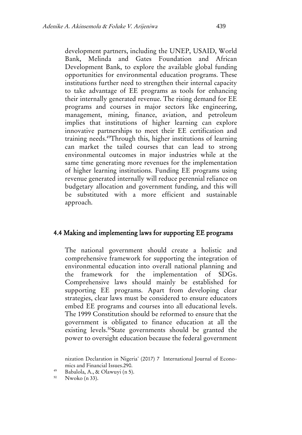development partners, including the UNEP, USAID, World Bank, Melinda and Gates Foundation and African Development Bank, to explore the available global funding opportunities for environmental education programs. These institutions further need to strengthen their internal capacity to take advantage of EE programs as tools for enhancing their internally generated revenue. The rising demand for EE programs and courses in major sectors like engineering, management, mining, finance, aviation, and petroleum implies that institutions of higher learning can explore innovative partnerships to meet their EE certification and training needs.<sup>49</sup>Through this, higher institutions of learning can market the tailed courses that can lead to strong environmental outcomes in major industries while at the same time generating more revenues for the implementation of higher learning institutions. Funding EE programs using revenue generated internally will reduce perennial reliance on budgetary allocation and government funding, and this will be substituted with a more efficient and sustainable approach.

#### 4.4 Making and implementing laws for supporting EE programs

The national government should create a holistic and comprehensive framework for supporting the integration of environmental education into overall national planning and the framework for the implementation of SDGs. Comprehensive laws should mainly be established for supporting EE programs. Apart from developing clear strategies, clear laws must be considered to ensure educators embed EE programs and courses into all educational levels. The 1999 Constitution should be reformed to ensure that the government is obligated to finance education at all the existing levels.<sup>50</sup>State governments should be granted the power to oversight education because the federal government

<sup>49</sup> Babalola, A., & Olawuyi (n 5).

Nwoko (n 33).

nization Declaration in Nigeria' (2017) 7 International Journal of Economics and Financial Issues.290.